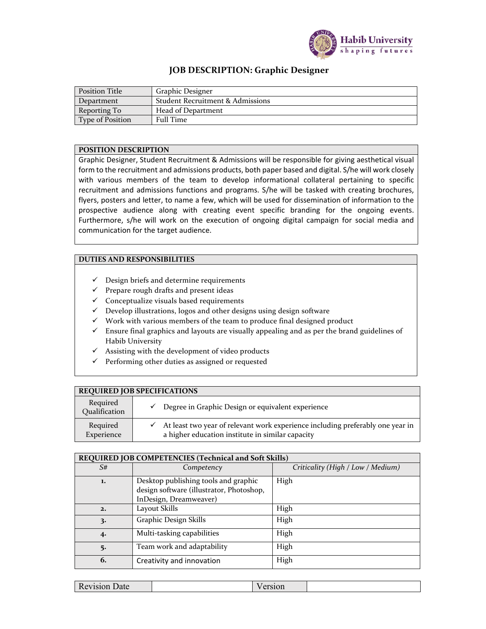

## **JOB DESCRIPTION: Graphic Designer**

| Position Title   | Graphic Designer                            |
|------------------|---------------------------------------------|
| Department       | <b>Student Recruitment &amp; Admissions</b> |
| Reporting To     | Head of Department                          |
| Type of Position | <b>Full Time</b>                            |

## **POSITION DESCRIPTION**

Graphic Designer, Student Recruitment & Admissions will be responsible for giving aesthetical visual form to the recruitment and admissions products, both paper based and digital. S/he will work closely with various members of the team to develop informational collateral pertaining to specific recruitment and admissions functions and programs. S/he will be tasked with creating brochures, flyers, posters and letter, to name a few, which will be used for dissemination of information to the prospective audience along with creating event specific branding for the ongoing events. Furthermore, s/he will work on the execution of ongoing digital campaign for social media and communication for the target audience.

## **DUTIES AND RESPONSIBILITIES**

- $\checkmark$  Design briefs and determine requirements
- $\checkmark$  Prepare rough drafts and present ideas
- $\checkmark$  Conceptualize visuals based requirements
- $\checkmark$  Develop illustrations, logos and other designs using design software
- $\checkmark$  Work with various members of the team to produce final designed product
- $\checkmark$  Ensure final graphics and layouts are visually appealing and as per the brand guidelines of Habib University
- $\checkmark$  Assisting with the development of video products
- $\checkmark$  Performing other duties as assigned or requested

| <b>REQUIRED JOB SPECIFICATIONS</b> |                                                                                                                                    |  |  |
|------------------------------------|------------------------------------------------------------------------------------------------------------------------------------|--|--|
| Required<br>Qualification          | Degree in Graphic Design or equivalent experience                                                                                  |  |  |
| Required<br>Experience             | At least two year of relevant work experience including preferably one year in<br>a higher education institute in similar capacity |  |  |

| REQUIRED JOB COMPETENCIES (Technical and Soft Skills) |                                                                                                            |                                   |  |  |  |
|-------------------------------------------------------|------------------------------------------------------------------------------------------------------------|-----------------------------------|--|--|--|
| S#                                                    | Competency                                                                                                 | Criticality (High / Low / Medium) |  |  |  |
| 1.                                                    | Desktop publishing tools and graphic<br>design software (illustrator, Photoshop,<br>InDesign, Dreamweaver) | High                              |  |  |  |
| 2.                                                    | Layout Skills                                                                                              | High                              |  |  |  |
| 3.                                                    | Graphic Design Skills                                                                                      | High                              |  |  |  |
| 4.                                                    | Multi-tasking capabilities                                                                                 | High                              |  |  |  |
| 5.                                                    | Team work and adaptability                                                                                 | High                              |  |  |  |
| 6.                                                    | Creativity and innovation                                                                                  | High                              |  |  |  |

| - -<br>Jale<br><b>NC</b><br>1011 |
|----------------------------------|
|----------------------------------|